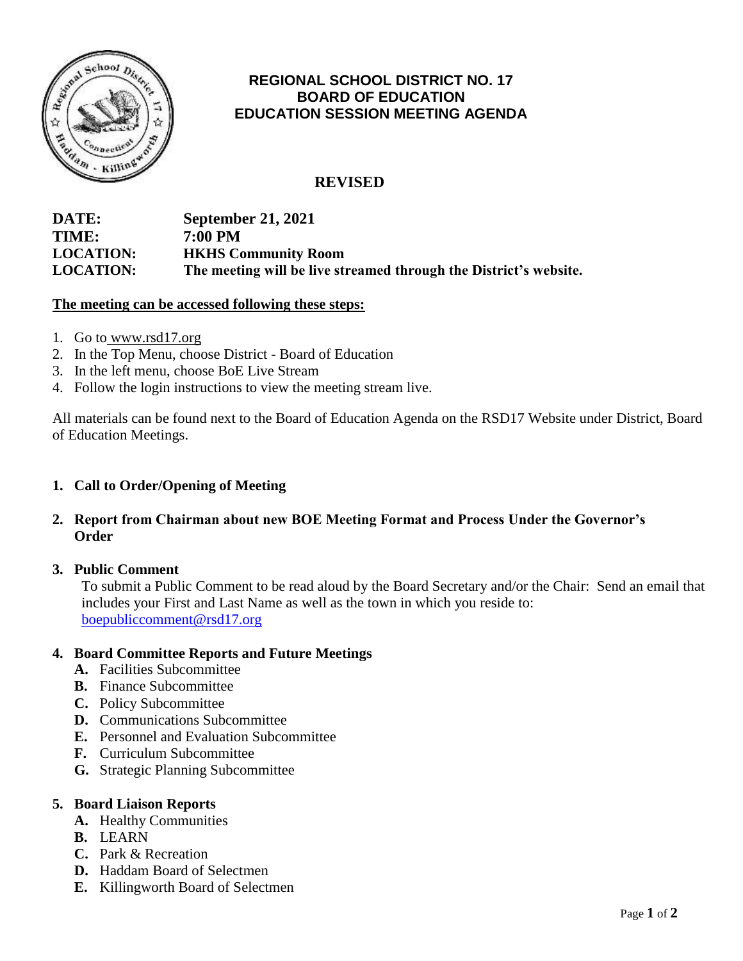

# **REGIONAL SCHOOL DISTRICT NO. 17 BOARD OF EDUCATION EDUCATION SESSION MEETING AGENDA**

# **REVISED**

# **DATE: September 21, 2021 TIME: 7:00 PM LOCATION: HKHS Community Room LOCATION: The meeting will be live streamed through the District's website.**

#### **The meeting can be accessed following these steps:**

- 1. Go to [www.rsd17.org](http://www.rsd17.org/)
- 2. In the Top Menu, choose District Board of Education
- 3. In the left menu, choose BoE Live Stream
- 4. Follow the login instructions to view the meeting stream live.

All materials can be found next to the Board of Education Agenda on the RSD17 Website under District, Board of Education Meetings.

## **1. Call to Order/Opening of Meeting**

**2. Report from Chairman about new BOE Meeting Format and Process Under the Governor's Order**

### **3. Public Comment**

 To submit a Public Comment to be read aloud by the Board Secretary and/or the Chair: Send an email that includes your First and Last Name as well as the town in which you reside to: [boepubliccomment@rsd17.org](mailto:boepubliccomment@rsd17.org)

### **4. Board Committee Reports and Future Meetings**

- **A.** Facilities Subcommittee
- **B.** Finance Subcommittee
- **C.** Policy Subcommittee
- **D.** Communications Subcommittee
- **E.** Personnel and Evaluation Subcommittee
- **F.** Curriculum Subcommittee
- **G.** Strategic Planning Subcommittee

#### **5. Board Liaison Reports**

- **A.** Healthy Communities
- **B.** LEARN
- **C.** Park & Recreation
- **D.** Haddam Board of Selectmen
- **E.** Killingworth Board of Selectmen